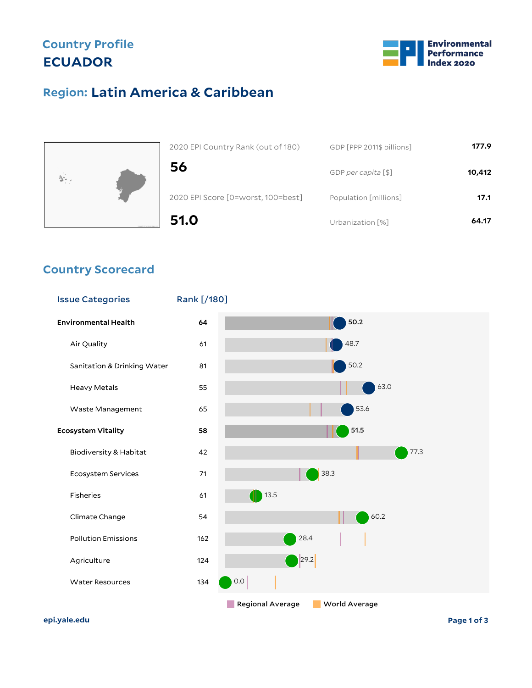## **Country Profile ECUADOR**



## **Latin America & Caribbean Region:**



| 51.0                               | Urbanization [%]          | 64.17  |
|------------------------------------|---------------------------|--------|
| 2020 EPI Score [0=worst, 100=best] | Population [millions]     | 17.1   |
| 56                                 | GDP per capita [\$]       | 10,412 |
| 2020 EPI Country Rank (out of 180) | GDP [PPP 2011\$ billions] | 177.9  |

### **Country Scorecard**



**epi.yale.edu Page 1 of 3**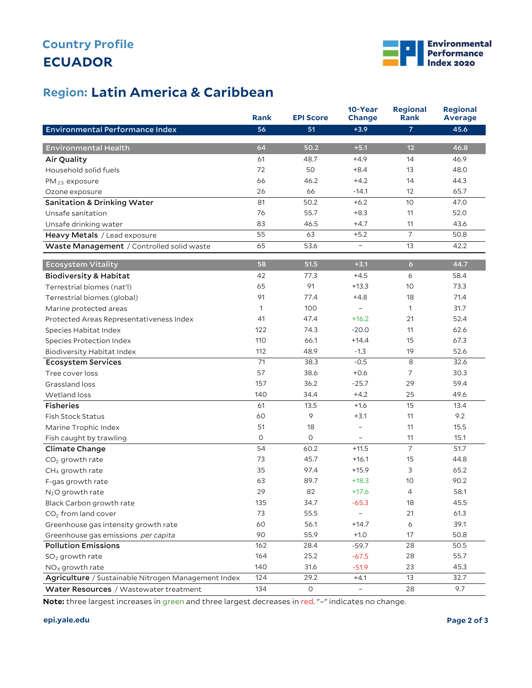# **ECUADOR Country Profile**



## **Latin America & Caribbean Region:**

|                                                     | <b>Rank</b>  | <b>EPI Score</b> | 10-Year<br>Change        | <b>Regional</b><br>Rank | <b>Regional</b><br><b>Average</b> |
|-----------------------------------------------------|--------------|------------------|--------------------------|-------------------------|-----------------------------------|
| Environmental Performance Index                     | 56           | 51               | $+3.9$                   | 7                       | 45.6                              |
|                                                     |              |                  |                          |                         |                                   |
| <b>Environmental Health</b>                         | 64           | 50.2             | $+5.1$                   | 12                      | 46.8                              |
| Air Quality                                         | 61           | 48.7             | $+4.9$                   | 14                      | 46.9                              |
| Household solid fuels                               | 72           | 50               | $+8.4$                   | 13                      | 48.0                              |
| $PM_{2.5}$ exposure                                 | 66           | 46.2             | $+4.2$                   | 14                      | 44.3                              |
| Ozone exposure                                      | 26           | 66               | $-14.1$                  | 12                      | 65.7                              |
| <b>Sanitation &amp; Drinking Water</b>              | 81           | 50.2             | $+6.2$                   | $10$                    | 47.0                              |
| Unsafe sanitation                                   | 76           | 55.7             | $+8.3$                   | 11                      | 52.0                              |
| Unsafe drinking water                               | 83           | 46.5             | $+4.7$                   | 11                      | 43.6                              |
| Heavy Metals / Lead exposure                        | 55           | 63               | $+5.2$                   | $\overline{7}$          | 50.8                              |
| Waste Management / Controlled solid waste           | 65           | 53.6             | $\qquad \qquad -$        | 13                      | 42.2                              |
| <b>Ecosystem Vitality</b>                           | 58           | 51.5             | $+3.1$                   | $\overline{6}$          | 44.7                              |
| <b>Biodiversity &amp; Habitat</b>                   | 42           | 77.3             | $+4.5$                   | 6                       | 58.4                              |
| Terrestrial biomes (nat'l)                          | 65           | 91               | $+13.3$                  | 10                      | 73.3                              |
| Terrestrial biomes (global)                         | 91           | 77.4             | $+4.8$                   | 18                      | 71.4                              |
| Marine protected areas                              | $\mathbf{1}$ | 100              | $\qquad \qquad -$        | 1                       | 31.7                              |
| Protected Areas Representativeness Index            | 41           | 47.4             | $+16.2$                  | 21                      | 52.4                              |
| Species Habitat Index                               | 122          | 74.3             | $-20.0$                  | 11                      | 62.6                              |
| Species Protection Index                            | 110          | 66.1             | $+14.4$                  | 15                      | 67.3                              |
| Biodiversity Habitat Index                          | 112          | 48.9             | $-1.3$                   | 19                      | 52.6                              |
| <b>Ecosystem Services</b>                           | 71           | 38.3             | $-0.5$                   | 8                       | 32.6                              |
| Tree cover loss                                     | 57           | 38.6             | $+0.6$                   | $\overline{7}$          | 30.3                              |
| Grassland loss                                      | 157          | 36.2             | $-25.7$                  | 29                      | 59.4                              |
| Wetland loss                                        | 140          | 34.4             | $+4.2$                   | 25                      | 49.6                              |
| <b>Fisheries</b>                                    | 61           | 13.5             | $+1.6$                   | 15                      | 13.4                              |
| <b>Fish Stock Status</b>                            | 60           | 9                | $+3.1$                   | 11                      | 9.2                               |
| Marine Trophic Index                                | 51           | 18               | $\qquad \qquad -$        | 11                      | 15.5                              |
| Fish caught by trawling                             | O            | 0                | -                        | 11                      | 15.1                              |
| Climate Change                                      | 54           | 60.2             | $+11.5$                  | $\overline{7}$          | 51.7                              |
| $CO2$ growth rate                                   | 73           | 45.7             | $+16.1$                  | 15                      | 44.8                              |
| CH <sub>4</sub> growth rate                         | 35           | 97.4             | $+15.9$                  | 3                       | 65.2                              |
| F-gas growth rate                                   | 63           | 89.7             | $+18.3$                  | 10                      | 90.2                              |
| $N2O$ growth rate                                   | 29           | 82               | $+17.6$                  | 4                       | 58.1                              |
| Black Carbon growth rate                            | 135          | 34.7             | $-65.3$                  | 18                      | 45.5                              |
| CO <sub>2</sub> from land cover                     | 73           | 55.5             |                          | 21                      | 61.3                              |
| Greenhouse gas intensity growth rate                | 60           | 56.1             | $+14.7$                  | 6                       | 39.1                              |
| Greenhouse gas emissions per capita                 | 90           | 55.9             | $+1.0$                   | 17                      | 50.8                              |
| <b>Pollution Emissions</b>                          | 162          | 28.4             | $-59.7$                  | 28                      | 50.5                              |
| $SO2$ growth rate                                   | 164          | 25.2             | $-67.5$                  | 28                      | 55.7                              |
| $NOx$ growth rate                                   | 140          | 31.6             | $-51.9$                  | 23                      | 45.3                              |
| Agriculture / Sustainable Nitrogen Management Index | 124          | 29.2             | $+4.1$                   | 13                      | 32.7                              |
| Water Resources / Wastewater treatment              | 134          | $\circ$          | $\overline{\phantom{0}}$ | 28                      | 9.7                               |

**Note:** three largest increases in green and three largest decreases in red. "–" indicates no change.

#### **epi.yale.edu Page 2 of 3**